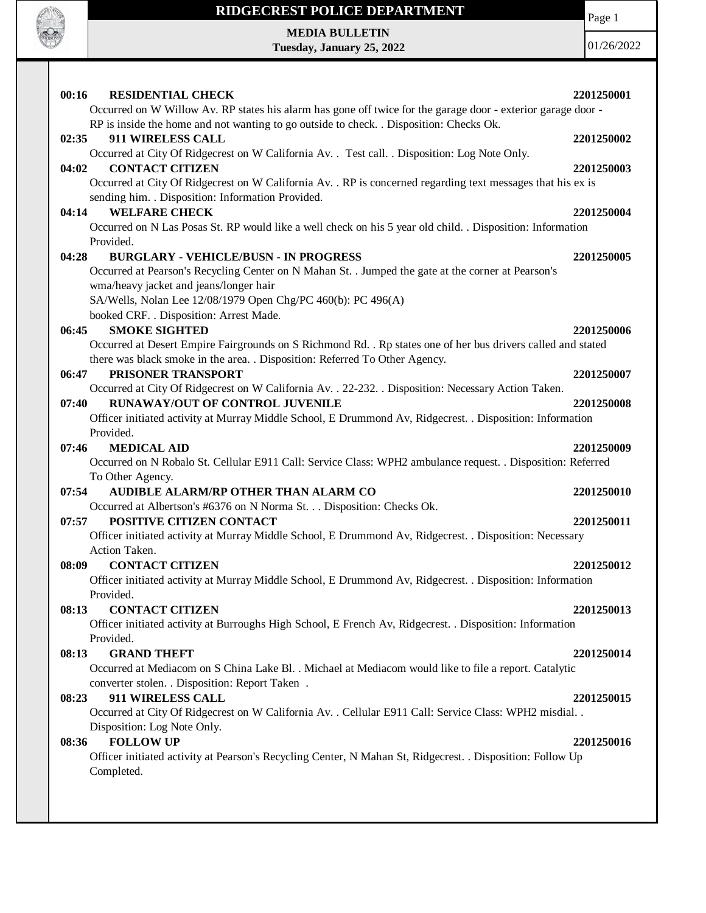

## **RIDGECREST POLICE DEPARTMENT**

Page 1

**MEDIA BULLETIN Tuesday, January 25, 2022**

01/26/2022

| 00:16<br><b>RESIDENTIAL CHECK</b><br>Occurred on W Willow Av. RP states his alarm has gone off twice for the garage door - exterior garage door - | 2201250001 |
|---------------------------------------------------------------------------------------------------------------------------------------------------|------------|
| RP is inside the home and not wanting to go outside to check. . Disposition: Checks Ok.                                                           |            |
| 911 WIRELESS CALL<br>02:35                                                                                                                        | 2201250002 |
| Occurred at City Of Ridgecrest on W California Av. . Test call. . Disposition: Log Note Only.<br><b>CONTACT CITIZEN</b><br>04:02                  |            |
| Occurred at City Of Ridgecrest on W California Av. . RP is concerned regarding text messages that his ex is                                       | 2201250003 |
| sending him. . Disposition: Information Provided.                                                                                                 |            |
| <b>WELFARE CHECK</b><br>04:14                                                                                                                     | 2201250004 |
| Occurred on N Las Posas St. RP would like a well check on his 5 year old child. . Disposition: Information                                        |            |
| Provided.                                                                                                                                         |            |
| 04:28<br><b>BURGLARY - VEHICLE/BUSN - IN PROGRESS</b>                                                                                             | 2201250005 |
| Occurred at Pearson's Recycling Center on N Mahan St. . Jumped the gate at the corner at Pearson's                                                |            |
| wma/heavy jacket and jeans/longer hair                                                                                                            |            |
| SA/Wells, Nolan Lee 12/08/1979 Open Chg/PC 460(b): PC 496(A)                                                                                      |            |
| booked CRF. . Disposition: Arrest Made.                                                                                                           |            |
| <b>SMOKE SIGHTED</b><br>06:45                                                                                                                     | 2201250006 |
| Occurred at Desert Empire Fairgrounds on S Richmond Rd. . Rp states one of her bus drivers called and stated                                      |            |
| there was black smoke in the area. . Disposition: Referred To Other Agency.                                                                       |            |
| PRISONER TRANSPORT<br>06:47                                                                                                                       | 2201250007 |
| Occurred at City Of Ridgecrest on W California Av. . 22-232. . Disposition: Necessary Action Taken.                                               |            |
| <b>RUNAWAY/OUT OF CONTROL JUVENILE</b><br>07:40                                                                                                   | 2201250008 |
| Officer initiated activity at Murray Middle School, E Drummond Av, Ridgecrest. . Disposition: Information                                         |            |
| Provided.                                                                                                                                         |            |
| <b>MEDICAL AID</b><br>07:46                                                                                                                       | 2201250009 |
| Occurred on N Robalo St. Cellular E911 Call: Service Class: WPH2 ambulance request. . Disposition: Referred                                       |            |
| To Other Agency.                                                                                                                                  |            |
| 07:54<br>AUDIBLE ALARM/RP OTHER THAN ALARM CO                                                                                                     | 2201250010 |
| Occurred at Albertson's #6376 on N Norma St. Disposition: Checks Ok.                                                                              |            |
| 07:57<br>POSITIVE CITIZEN CONTACT                                                                                                                 | 2201250011 |
| Officer initiated activity at Murray Middle School, E Drummond Av, Ridgecrest. . Disposition: Necessary                                           |            |
| Action Taken.                                                                                                                                     |            |
| <b>CONTACT CITIZEN</b><br>08:09                                                                                                                   | 2201250012 |
| Officer initiated activity at Murray Middle School, E Drummond Av, Ridgecrest. . Disposition: Information                                         |            |
| Provided.                                                                                                                                         |            |
| 08:13<br><b>CONTACT CITIZEN</b>                                                                                                                   | 2201250013 |
| Officer initiated activity at Burroughs High School, E French Av, Ridgecrest. . Disposition: Information<br>Provided.                             |            |
| <b>GRAND THEFT</b><br>08:13                                                                                                                       | 2201250014 |
| Occurred at Mediacom on S China Lake Bl. . Michael at Mediacom would like to file a report. Catalytic                                             |            |
| converter stolen. . Disposition: Report Taken .                                                                                                   |            |
| 911 WIRELESS CALL<br>08:23                                                                                                                        | 2201250015 |
| Occurred at City Of Ridgecrest on W California Av. . Cellular E911 Call: Service Class: WPH2 misdial. .                                           |            |
| Disposition: Log Note Only.                                                                                                                       |            |
| <b>FOLLOW UP</b><br>08:36                                                                                                                         | 2201250016 |
| Officer initiated activity at Pearson's Recycling Center, N Mahan St, Ridgecrest. . Disposition: Follow Up<br>Completed.                          |            |
|                                                                                                                                                   |            |
|                                                                                                                                                   |            |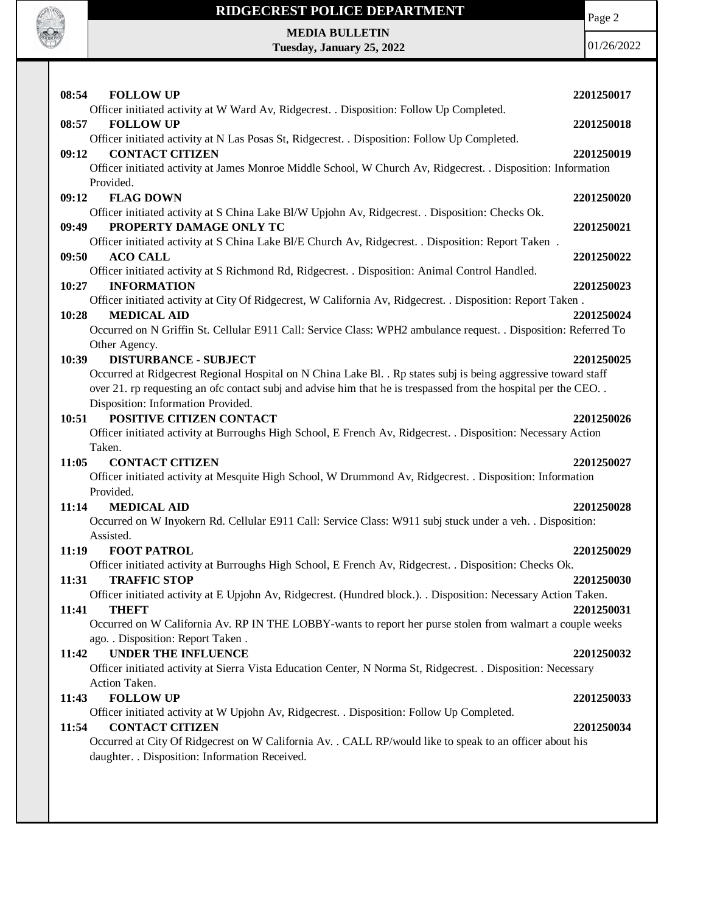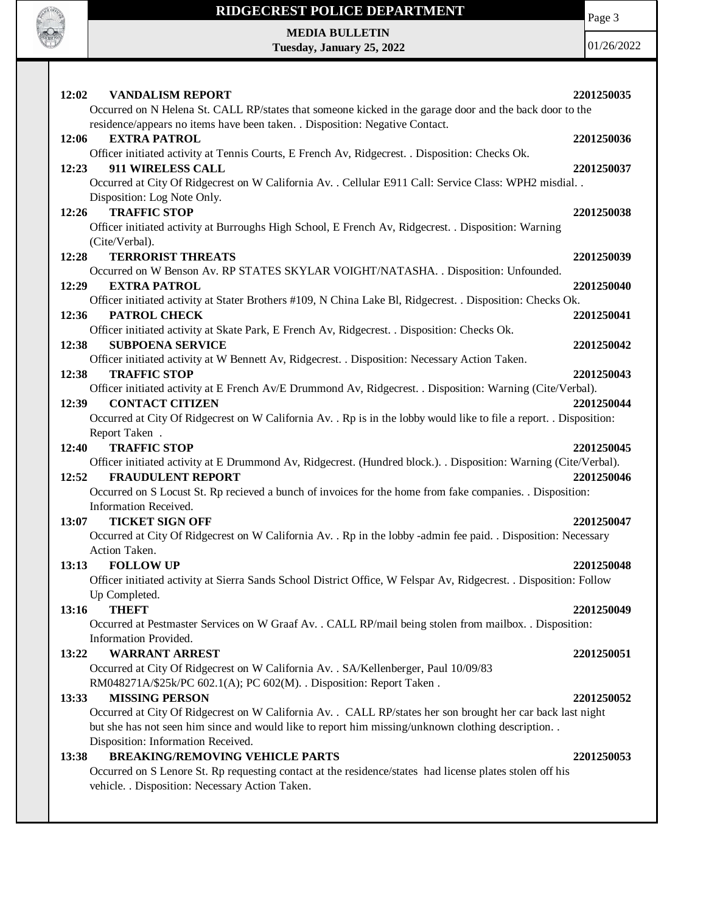

## **RIDGECREST POLICE DEPARTMENT**

Page 3

**MEDIA BULLETIN Tuesday, January 25, 2022**

01/26/2022

| 12:02<br><b>VANDALISM REPORT</b><br>Occurred on N Helena St. CALL RP/states that someone kicked in the garage door and the back door to the<br>residence/appears no items have been taken. . Disposition: Negative Contact.                                                                 | 2201250035               |
|---------------------------------------------------------------------------------------------------------------------------------------------------------------------------------------------------------------------------------------------------------------------------------------------|--------------------------|
| <b>EXTRA PATROL</b><br>12:06                                                                                                                                                                                                                                                                | 2201250036               |
| Officer initiated activity at Tennis Courts, E French Av, Ridgecrest. . Disposition: Checks Ok.<br>911 WIRELESS CALL<br>12:23<br>Occurred at City Of Ridgecrest on W California Av. . Cellular E911 Call: Service Class: WPH2 misdial. .                                                    | 2201250037               |
| Disposition: Log Note Only.<br><b>TRAFFIC STOP</b><br>12:26<br>Officer initiated activity at Burroughs High School, E French Av, Ridgecrest. . Disposition: Warning<br>(Cite/Verbal).                                                                                                       | 2201250038               |
| 12:28<br><b>TERRORIST THREATS</b><br>Occurred on W Benson Av. RP STATES SKYLAR VOIGHT/NATASHA. . Disposition: Unfounded.                                                                                                                                                                    | 2201250039               |
| 12:29<br><b>EXTRA PATROL</b><br>Officer initiated activity at Stater Brothers #109, N China Lake Bl, Ridgecrest. . Disposition: Checks Ok.                                                                                                                                                  | 2201250040               |
| PATROL CHECK<br>12:36<br>Officer initiated activity at Skate Park, E French Av, Ridgecrest. . Disposition: Checks Ok.                                                                                                                                                                       | 2201250041               |
| 12:38<br><b>SUBPOENA SERVICE</b><br>Officer initiated activity at W Bennett Av, Ridgecrest. . Disposition: Necessary Action Taken.                                                                                                                                                          | 2201250042               |
| <b>TRAFFIC STOP</b><br>12:38<br>Officer initiated activity at E French Av/E Drummond Av, Ridgecrest. . Disposition: Warning (Cite/Verbal).<br><b>CONTACT CITIZEN</b><br>12:39                                                                                                               | 2201250043<br>2201250044 |
| Occurred at City Of Ridgecrest on W California Av. . Rp is in the lobby would like to file a report. . Disposition:<br>Report Taken.<br><b>TRAFFIC STOP</b><br>12:40                                                                                                                        | 2201250045               |
| Officer initiated activity at E Drummond Av, Ridgecrest. (Hundred block.). . Disposition: Warning (Cite/Verbal).<br><b>FRAUDULENT REPORT</b><br>12:52<br>Occurred on S Locust St. Rp recieved a bunch of invoices for the home from fake companies. . Disposition:<br>Information Received. | 2201250046               |
| <b>TICKET SIGN OFF</b><br>13:07<br>Occurred at City Of Ridgecrest on W California Av. . Rp in the lobby -admin fee paid. . Disposition: Necessary<br>Action Taken.                                                                                                                          | 2201250047               |
| 13:13<br><b>FOLLOW UP</b><br>Officer initiated activity at Sierra Sands School District Office, W Felspar Av, Ridgecrest. . Disposition: Follow<br>Up Completed.                                                                                                                            | 2201250048               |
| <b>THEFT</b><br>13:16<br>Occurred at Pestmaster Services on W Graaf Av. . CALL RP/mail being stolen from mailbox. . Disposition:<br>Information Provided.                                                                                                                                   | 2201250049               |
| <b>WARRANT ARREST</b><br>13:22<br>Occurred at City Of Ridgecrest on W California Av. . SA/Kellenberger, Paul 10/09/83<br>RM048271A/\$25k/PC 602.1(A); PC 602(M). . Disposition: Report Taken.                                                                                               | 2201250051               |
| <b>MISSING PERSON</b><br>13:33<br>Occurred at City Of Ridgecrest on W California Av. . CALL RP/states her son brought her car back last night<br>but she has not seen him since and would like to report him missing/unknown clothing description<br>Disposition: Information Received.     | 2201250052               |
| <b>BREAKING/REMOVING VEHICLE PARTS</b><br>13:38<br>Occurred on S Lenore St. Rp requesting contact at the residence/states had license plates stolen off his<br>vehicle. . Disposition: Necessary Action Taken.                                                                              | 2201250053               |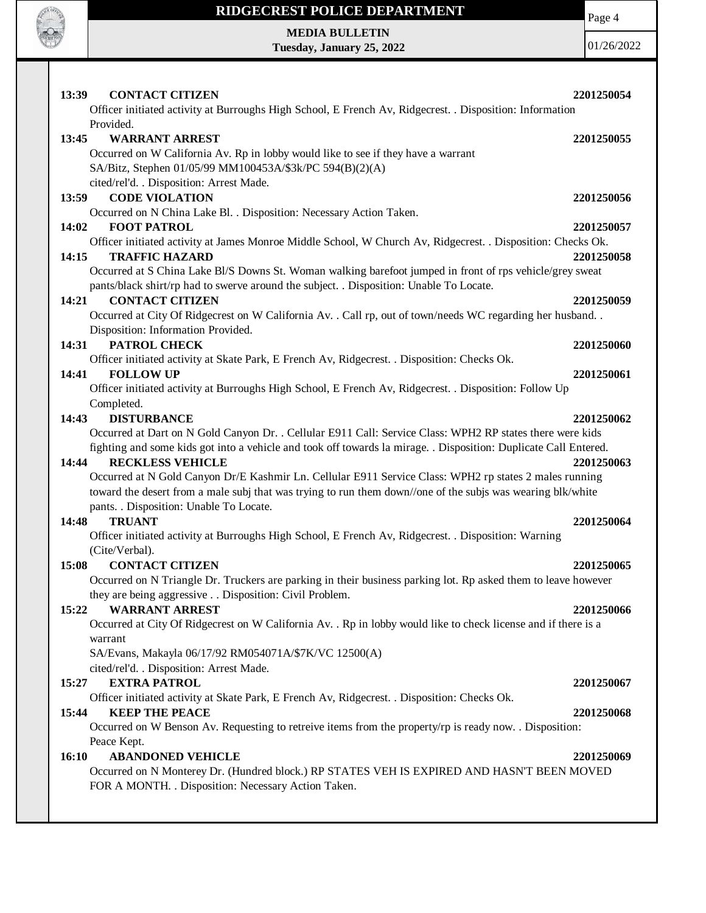